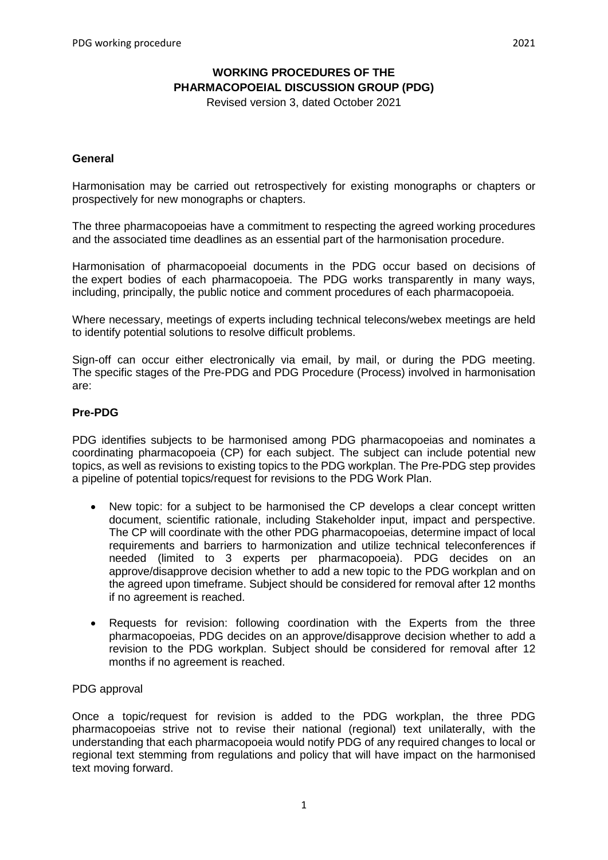# **WORKING PROCEDURES OF THE PHARMACOPOEIAL DISCUSSION GROUP (PDG)**

Revised version 3, dated October 2021

#### **General**

Harmonisation may be carried out retrospectively for existing monographs or chapters or prospectively for new monographs or chapters.

The three pharmacopoeias have a commitment to respecting the agreed working procedures and the associated time deadlines as an essential part of the harmonisation procedure.

Harmonisation of pharmacopoeial documents in the PDG occur based on decisions of the expert bodies of each pharmacopoeia. The PDG works transparently in many ways, including, principally, the public notice and comment procedures of each pharmacopoeia.

Where necessary, meetings of experts including technical telecons/webex meetings are held to identify potential solutions to resolve difficult problems.

Sign-off can occur either electronically via email, by mail, or during the PDG meeting. The specific stages of the Pre-PDG and PDG Procedure (Process) involved in harmonisation are:

### **Pre-PDG**

PDG identifies subjects to be harmonised among PDG pharmacopoeias and nominates a coordinating pharmacopoeia (CP) for each subject. The subject can include potential new topics, as well as revisions to existing topics to the PDG workplan. The Pre-PDG step provides a pipeline of potential topics/request for revisions to the PDG Work Plan.

- New topic: for a subject to be harmonised the CP develops a clear concept written document, scientific rationale, including Stakeholder input, impact and perspective. The CP will coordinate with the other PDG pharmacopoeias, determine impact of local requirements and barriers to harmonization and utilize technical teleconferences if needed (limited to 3 experts per pharmacopoeia). PDG decides on an approve/disapprove decision whether to add a new topic to the PDG workplan and on the agreed upon timeframe. Subject should be considered for removal after 12 months if no agreement is reached.
- Requests for revision: following coordination with the Experts from the three pharmacopoeias, PDG decides on an approve/disapprove decision whether to add a revision to the PDG workplan. Subject should be considered for removal after 12 months if no agreement is reached.

#### PDG approval

Once a topic/request for revision is added to the PDG workplan, the three PDG pharmacopoeias strive not to revise their national (regional) text unilaterally, with the understanding that each pharmacopoeia would notify PDG of any required changes to local or regional text stemming from regulations and policy that will have impact on the harmonised text moving forward.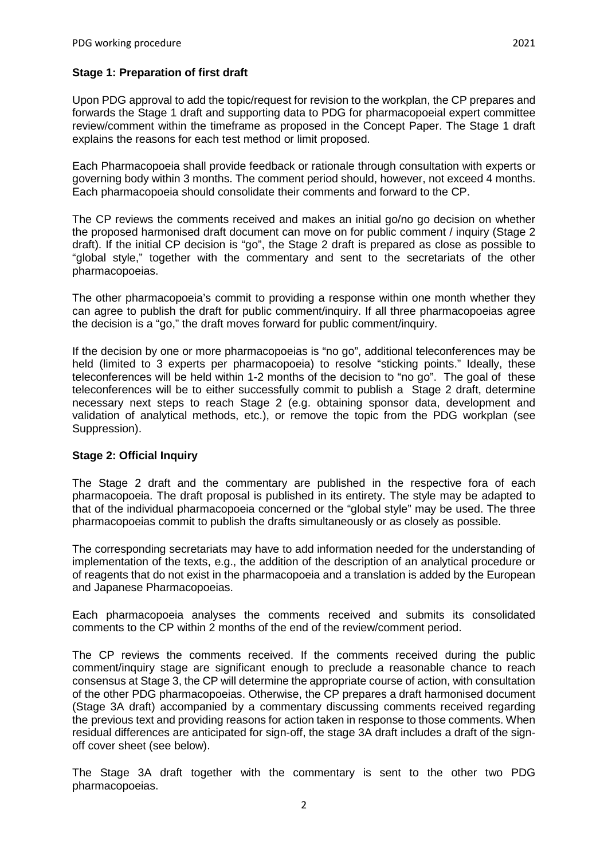Upon PDG approval to add the topic/request for revision to the workplan, the CP prepares and forwards the Stage 1 draft and supporting data to PDG for pharmacopoeial expert committee review/comment within the timeframe as proposed in the Concept Paper. The Stage 1 draft explains the reasons for each test method or limit proposed.

Each Pharmacopoeia shall provide feedback or rationale through consultation with experts or governing body within 3 months. The comment period should, however, not exceed 4 months. Each pharmacopoeia should consolidate their comments and forward to the CP.

The CP reviews the comments received and makes an initial go/no go decision on whether the proposed harmonised draft document can move on for public comment / inquiry (Stage 2 draft). If the initial CP decision is "go", the Stage 2 draft is prepared as close as possible to "global style," together with the commentary and sent to the secretariats of the other pharmacopoeias.

The other pharmacopoeia's commit to providing a response within one month whether they can agree to publish the draft for public comment/inquiry. If all three pharmacopoeias agree the decision is a "go," the draft moves forward for public comment/inquiry.

If the decision by one or more pharmacopoeias is "no go", additional teleconferences may be held (limited to 3 experts per pharmacopoeia) to resolve "sticking points." Ideally, these teleconferences will be held within 1-2 months of the decision to "no go". The goal of these teleconferences will be to either successfully commit to publish a Stage 2 draft, determine necessary next steps to reach Stage 2 (e.g. obtaining sponsor data, development and validation of analytical methods, etc.), or remove the topic from the PDG workplan (see Suppression).

### **Stage 2: Official Inquiry**

The Stage 2 draft and the commentary are published in the respective fora of each pharmacopoeia. The draft proposal is published in its entirety. The style may be adapted to that of the individual pharmacopoeia concerned or the "global style" may be used. The three pharmacopoeias commit to publish the drafts simultaneously or as closely as possible.

The corresponding secretariats may have to add information needed for the understanding of implementation of the texts, e.g., the addition of the description of an analytical procedure or of reagents that do not exist in the pharmacopoeia and a translation is added by the European and Japanese Pharmacopoeias.

Each pharmacopoeia analyses the comments received and submits its consolidated comments to the CP within 2 months of the end of the review/comment period.

The CP reviews the comments received. If the comments received during the public comment/inquiry stage are significant enough to preclude a reasonable chance to reach consensus at Stage 3, the CP will determine the appropriate course of action, with consultation of the other PDG pharmacopoeias. Otherwise, the CP prepares a draft harmonised document (Stage 3A draft) accompanied by a commentary discussing comments received regarding the previous text and providing reasons for action taken in response to those comments. When residual differences are anticipated for sign-off, the stage 3A draft includes a draft of the signoff cover sheet (see below).

The Stage 3A draft together with the commentary is sent to the other two PDG pharmacopoeias.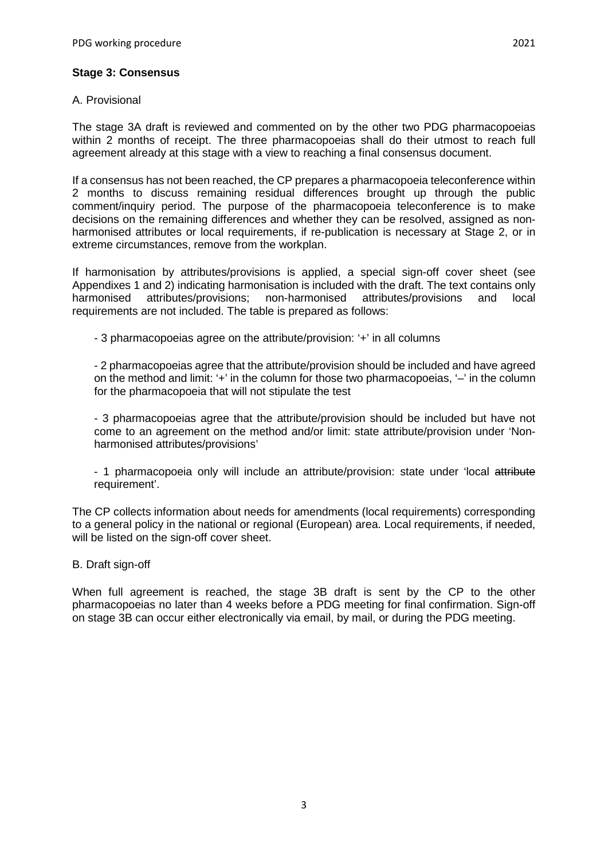### A. Provisional

The stage 3A draft is reviewed and commented on by the other two PDG pharmacopoeias within 2 months of receipt. The three pharmacopoeias shall do their utmost to reach full agreement already at this stage with a view to reaching a final consensus document.

If a consensus has not been reached, the CP prepares a pharmacopoeia teleconference within 2 months to discuss remaining residual differences brought up through the public comment/inquiry period. The purpose of the pharmacopoeia teleconference is to make decisions on the remaining differences and whether they can be resolved, assigned as nonharmonised attributes or local requirements, if re-publication is necessary at Stage 2, or in extreme circumstances, remove from the workplan.

If harmonisation by attributes/provisions is applied, a special sign-off cover sheet (see Appendixes 1 and 2) indicating harmonisation is included with the draft. The text contains only harmonised attributes/provisions; non-harmonised attributes/provisions and local requirements are not included. The table is prepared as follows:

- 3 pharmacopoeias agree on the attribute/provision: '+' in all columns

- 2 pharmacopoeias agree that the attribute/provision should be included and have agreed on the method and limit: '+' in the column for those two pharmacopoeias, '–' in the column for the pharmacopoeia that will not stipulate the test

- 3 pharmacopoeias agree that the attribute/provision should be included but have not come to an agreement on the method and/or limit: state attribute/provision under 'Nonharmonised attributes/provisions'

- 1 pharmacopoeia only will include an attribute/provision: state under 'local attribute requirement'.

The CP collects information about needs for amendments (local requirements) corresponding to a general policy in the national or regional (European) area. Local requirements, if needed, will be listed on the sign-off cover sheet.

B. Draft sign-off

When full agreement is reached, the stage 3B draft is sent by the CP to the other pharmacopoeias no later than 4 weeks before a PDG meeting for final confirmation. Sign-off on stage 3B can occur either electronically via email, by mail, or during the PDG meeting.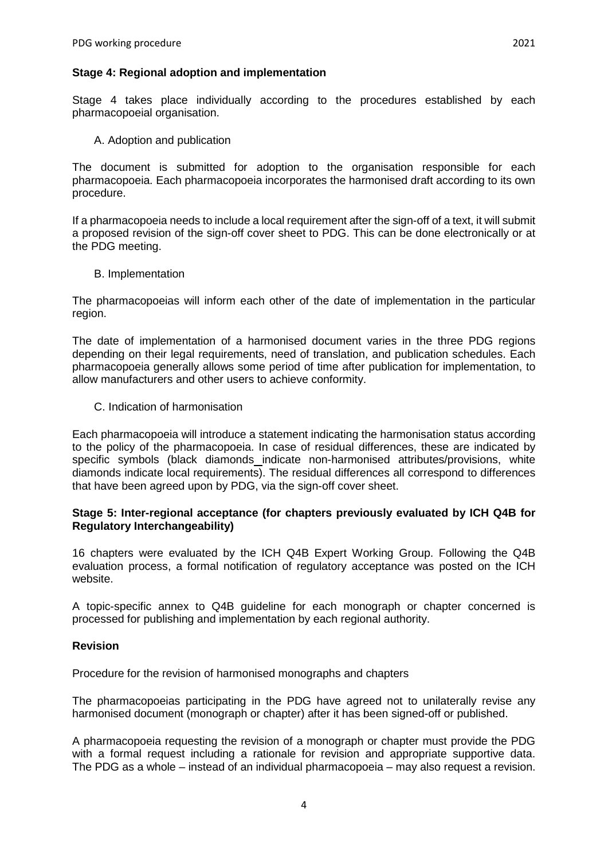Stage 4 takes place individually according to the procedures established by each pharmacopoeial organisation.

A. Adoption and publication

The document is submitted for adoption to the organisation responsible for each pharmacopoeia. Each pharmacopoeia incorporates the harmonised draft according to its own procedure.

If a pharmacopoeia needs to include a local requirement after the sign-off of a text, it will submit a proposed revision of the sign-off cover sheet to PDG. This can be done electronically or at the PDG meeting.

B. Implementation

The pharmacopoeias will inform each other of the date of implementation in the particular region.

The date of implementation of a harmonised document varies in the three PDG regions depending on their legal requirements, need of translation, and publication schedules. Each pharmacopoeia generally allows some period of time after publication for implementation, to allow manufacturers and other users to achieve conformity.

C. Indication of harmonisation

Each pharmacopoeia will introduce a statement indicating the harmonisation status according to the policy of the pharmacopoeia. In case of residual differences, these are indicated by specific symbols (black diamonds indicate non-harmonised attributes/provisions, white diamonds indicate local requirements). The residual differences all correspond to differences that have been agreed upon by PDG, via the sign-off cover sheet.

### **Stage 5: Inter-regional acceptance (for chapters previously evaluated by ICH Q4B for Regulatory Interchangeability)**

16 chapters were evaluated by the ICH Q4B Expert Working Group. Following the Q4B evaluation process, a formal notification of regulatory acceptance was posted on the ICH website.

A topic-specific annex to Q4B guideline for each monograph or chapter concerned is processed for publishing and implementation by each regional authority.

### **Revision**

Procedure for the revision of harmonised monographs and chapters

The pharmacopoeias participating in the PDG have agreed not to unilaterally revise any harmonised document (monograph or chapter) after it has been signed-off or published.

A pharmacopoeia requesting the revision of a monograph or chapter must provide the PDG with a formal request including a rationale for revision and appropriate supportive data. The PDG as a whole – instead of an individual pharmacopoeia – may also request a revision.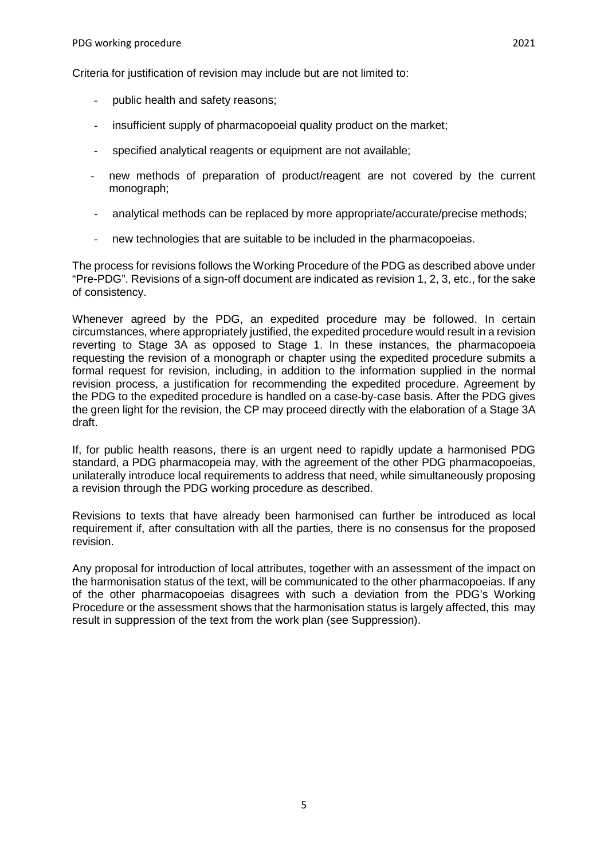Criteria for justification of revision may include but are not limited to:

- public health and safety reasons;
- insufficient supply of pharmacopoeial quality product on the market;
- specified analytical reagents or equipment are not available;
- new methods of preparation of product/reagent are not covered by the current monograph;
- analytical methods can be replaced by more appropriate/accurate/precise methods;
- new technologies that are suitable to be included in the pharmacopoeias.

The process for revisions follows the Working Procedure of the PDG as described above under "Pre-PDG". Revisions of a sign-off document are indicated as revision 1, 2, 3, etc., for the sake of consistency.

Whenever agreed by the PDG, an expedited procedure may be followed. In certain circumstances, where appropriately justified, the expedited procedure would result in a revision reverting to Stage 3A as opposed to Stage 1. In these instances, the pharmacopoeia requesting the revision of a monograph or chapter using the expedited procedure submits a formal request for revision, including, in addition to the information supplied in the normal revision process, a justification for recommending the expedited procedure. Agreement by the PDG to the expedited procedure is handled on a case-by-case basis. After the PDG gives the green light for the revision, the CP may proceed directly with the elaboration of a Stage 3A draft.

If, for public health reasons, there is an urgent need to rapidly update a harmonised PDG standard, a PDG pharmacopeia may, with the agreement of the other PDG pharmacopoeias, unilaterally introduce local requirements to address that need, while simultaneously proposing a revision through the PDG working procedure as described.

Revisions to texts that have already been harmonised can further be introduced as local requirement if, after consultation with all the parties, there is no consensus for the proposed revision.

Any proposal for introduction of local attributes, together with an assessment of the impact on the harmonisation status of the text, will be communicated to the other pharmacopoeias. If any of the other pharmacopoeias disagrees with such a deviation from the PDG's Working Procedure or the assessment shows that the harmonisation status is largely affected, this may result in suppression of the text from the work plan (see Suppression).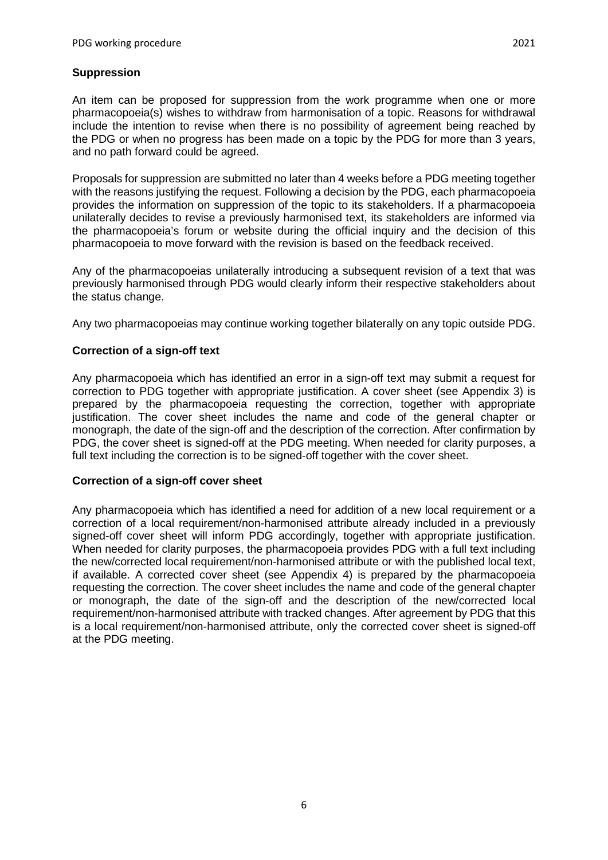An item can be proposed for suppression from the work programme when one or more pharmacopoeia(s) wishes to withdraw from harmonisation of a topic. Reasons for withdrawal include the intention to revise when there is no possibility of agreement being reached by the PDG or when no progress has been made on a topic by the PDG for more than 3 years, and no path forward could be agreed.

Proposals for suppression are submitted no later than 4 weeks before a PDG meeting together with the reasons justifying the request. Following a decision by the PDG, each pharmacopoeia provides the information on suppression of the topic to its stakeholders. If a pharmacopoeia unilaterally decides to revise a previously harmonised text, its stakeholders are informed via the pharmacopoeia's forum or website during the official inquiry and the decision of this pharmacopoeia to move forward with the revision is based on the feedback received.

Any of the pharmacopoeias unilaterally introducing a subsequent revision of a text that was previously harmonised through PDG would clearly inform their respective stakeholders about the status change.

Any two pharmacopoeias may continue working together bilaterally on any topic outside PDG.

# **Correction of a sign-off text**

Any pharmacopoeia which has identified an error in a sign-off text may submit a request for correction to PDG together with appropriate justification. A cover sheet (see Appendix 3) is prepared by the pharmacopoeia requesting the correction, together with appropriate justification. The cover sheet includes the name and code of the general chapter or monograph, the date of the sign-off and the description of the correction. After confirmation by PDG, the cover sheet is signed-off at the PDG meeting. When needed for clarity purposes, a full text including the correction is to be signed-off together with the cover sheet.

### **Correction of a sign-off cover sheet**

Any pharmacopoeia which has identified a need for addition of a new local requirement or a correction of a local requirement/non-harmonised attribute already included in a previously signed-off cover sheet will inform PDG accordingly, together with appropriate justification. When needed for clarity purposes, the pharmacopoeia provides PDG with a full text including the new/corrected local requirement/non-harmonised attribute or with the published local text, if available. A corrected cover sheet (see Appendix 4) is prepared by the pharmacopoeia requesting the correction. The cover sheet includes the name and code of the general chapter or monograph, the date of the sign-off and the description of the new/corrected local requirement/non-harmonised attribute with tracked changes. After agreement by PDG that this is a local requirement/non-harmonised attribute, only the corrected cover sheet is signed-off at the PDG meeting.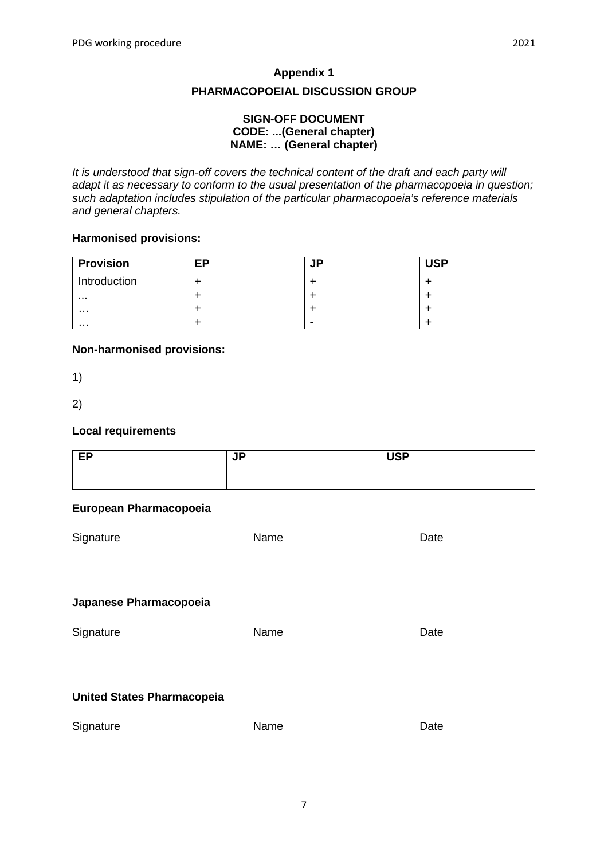### **PHARMACOPOEIAL DISCUSSION GROUP**

### **SIGN-OFF DOCUMENT CODE: ...(General chapter) NAME: … (General chapter)**

*It is understood that sign-off covers the technical content of the draft and each party will adapt it as necessary to conform to the usual presentation of the pharmacopoeia in question; such adaptation includes stipulation of the particular pharmacopoeia's reference materials and general chapters.*

### **Harmonised provisions:**

| <b>Provision</b> | <b>EP</b> | <b>JP</b> | <b>USP</b> |
|------------------|-----------|-----------|------------|
| Introduction     |           |           |            |
| .                |           |           |            |
| .                |           |           |            |
| .                |           | ۰         |            |

### **Non-harmonised provisions:**

1)

2)

### **Local requirements**

| EP | <b>JP</b> | <b>USP</b> |
|----|-----------|------------|
|    |           |            |

| Signature                         | Name | Date |
|-----------------------------------|------|------|
|                                   |      |      |
| Japanese Pharmacopoeia            |      |      |
| Signature                         | Name | Date |
|                                   |      |      |
| <b>United States Pharmacopeia</b> |      |      |
| Signature                         | Name | Date |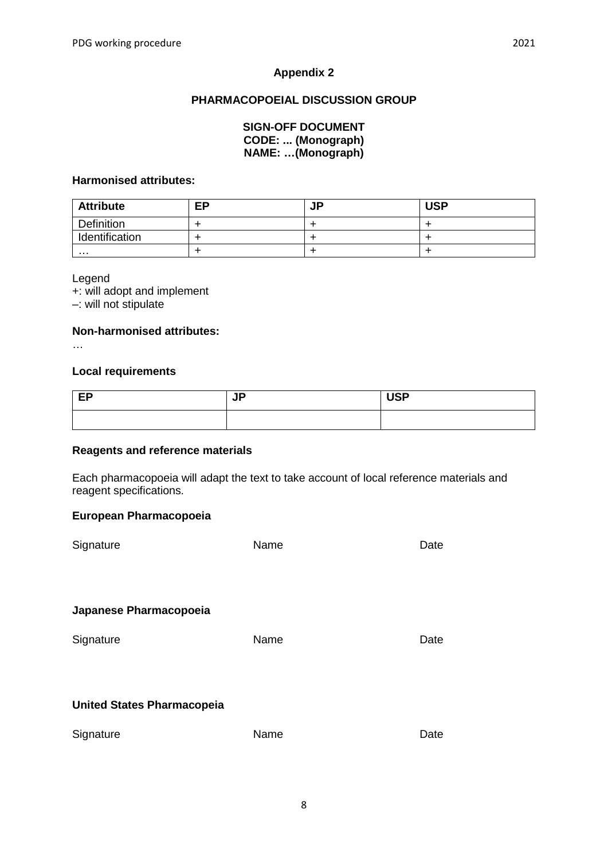# **PHARMACOPOEIAL DISCUSSION GROUP**

| <b>SIGN-OFF DOCUMENT</b>  |
|---------------------------|
| <b>CODE:  (Monograph)</b> |
| NAME: (Monograph)         |

### **Harmonised attributes:**

| <b>Attribute</b>  | <b>EP</b> | −<br>JF | <b>USP</b> |
|-------------------|-----------|---------|------------|
| <b>Definition</b> |           |         |            |
| Identification    |           |         |            |
| .                 |           |         |            |

Legend

+: will adopt and implement –: will not stipulate

### **Non-harmonised attributes:**

…

### **Local requirements**

| EP<br>$-$ | םו<br>VГ | <b>USP</b> |
|-----------|----------|------------|
|           |          |            |

#### **Reagents and reference materials**

Each pharmacopoeia will adapt the text to take account of local reference materials and reagent specifications.

| Signature                         | Name | Date |
|-----------------------------------|------|------|
|                                   |      |      |
|                                   |      |      |
| Japanese Pharmacopoeia            |      |      |
| Signature                         | Name | Date |
|                                   |      |      |
|                                   |      |      |
| <b>United States Pharmacopeia</b> |      |      |
| Signature                         | Name | Date |
|                                   |      |      |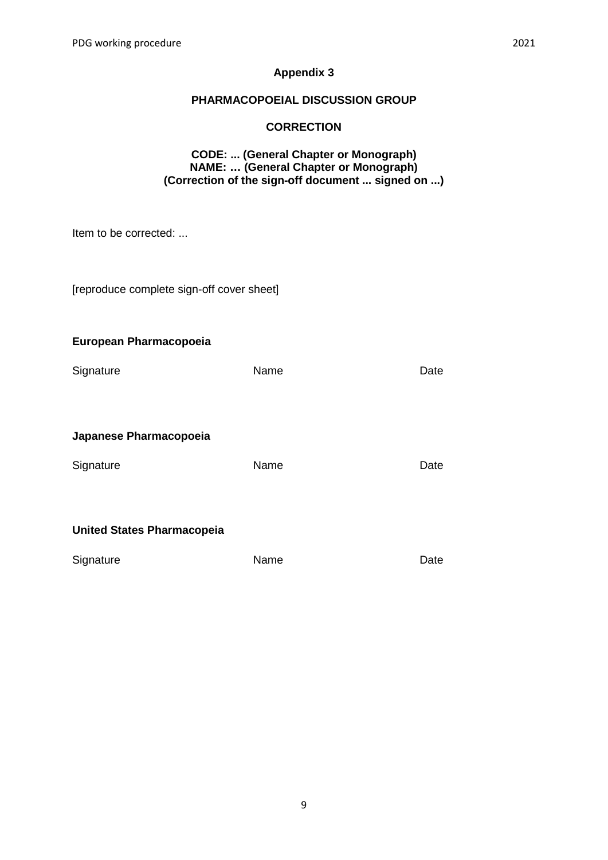# **PHARMACOPOEIAL DISCUSSION GROUP**

# **CORRECTION**

# **CODE: ... (General Chapter or Monograph) NAME: … (General Chapter or Monograph) (Correction of the sign-off document ... signed on ...)**

Item to be corrected: ...

[reproduce complete sign-off cover sheet]

| Signature                         | Name | Date |
|-----------------------------------|------|------|
| Japanese Pharmacopoeia            |      |      |
| Signature                         | Name | Date |
| <b>United States Pharmacopeia</b> |      |      |

| Signature | Name | Date |
|-----------|------|------|
|           |      |      |